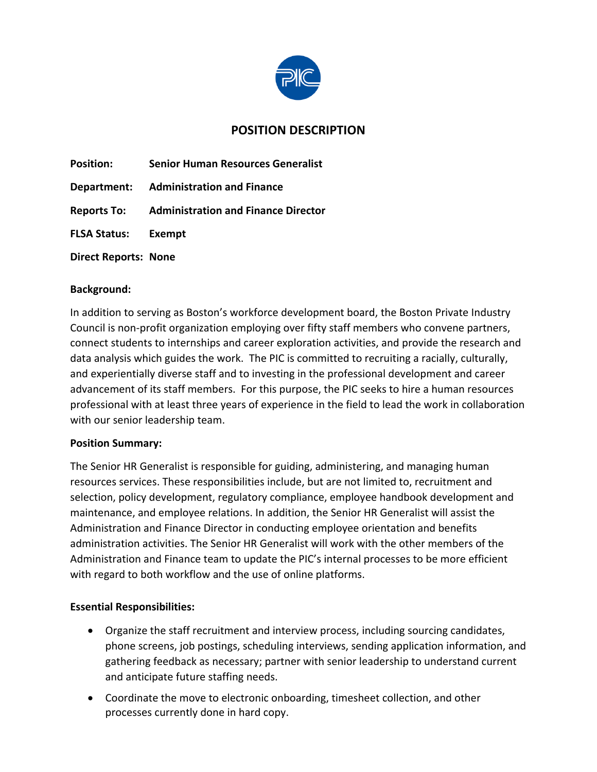

# **POSITION DESCRIPTION**

| <b>Position:</b>            | <b>Senior Human Resources Generalist</b>               |
|-----------------------------|--------------------------------------------------------|
|                             | <b>Department:</b> Administration and Finance          |
|                             | <b>Reports To:</b> Administration and Finance Director |
| <b>FLSA Status: Exempt</b>  |                                                        |
| <b>Direct Reports: None</b> |                                                        |

#### **Background:**

In addition to serving as Boston's workforce development board, the Boston Private Industry Council is non-profit organization employing over fifty staff members who convene partners, connect students to internships and career exploration activities, and provide the research and data analysis which guides the work. The PIC is committed to recruiting a racially, culturally, and experientially diverse staff and to investing in the professional development and career advancement of its staff members. For this purpose, the PIC seeks to hire a human resources professional with at least three years of experience in the field to lead the work in collaboration with our senior leadership team.

#### **Position Summary:**

The Senior HR Generalist is responsible for guiding, administering, and managing human resources services. These responsibilities include, but are not limited to, recruitment and selection, policy development, regulatory compliance, employee handbook development and maintenance, and employee relations. In addition, the Senior HR Generalist will assist the Administration and Finance Director in conducting employee orientation and benefits administration activities. The Senior HR Generalist will work with the other members of the Administration and Finance team to update the PIC's internal processes to be more efficient with regard to both workflow and the use of online platforms.

#### **Essential Responsibilities:**

- Organize the staff recruitment and interview process, including sourcing candidates, phone screens, job postings, scheduling interviews, sending application information, and gathering feedback as necessary; partner with senior leadership to understand current and anticipate future staffing needs.
- Coordinate the move to electronic onboarding, timesheet collection, and other processes currently done in hard copy.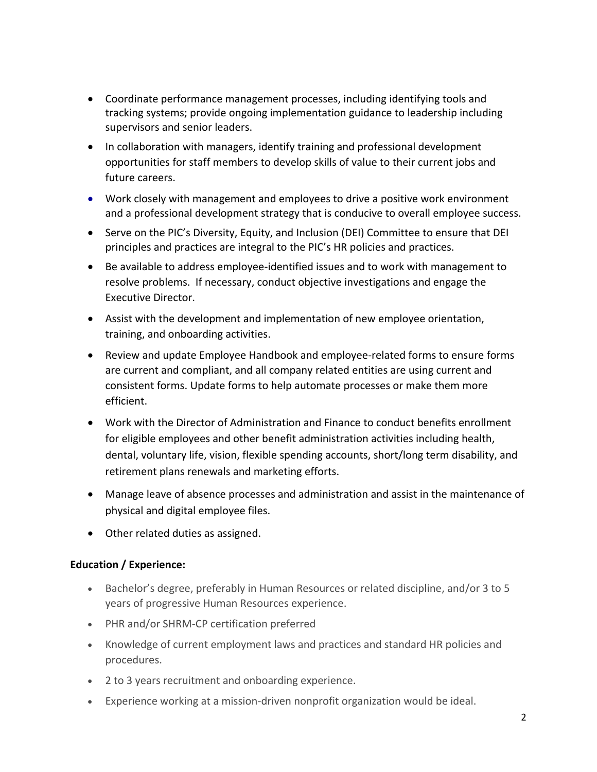- Coordinate performance management processes, including identifying tools and tracking systems; provide ongoing implementation guidance to leadership including supervisors and senior leaders.
- In collaboration with managers, identify training and professional development opportunities for staff members to develop skills of value to their current jobs and future careers.
- Work closely with management and employees to drive a positive work environment and a professional development strategy that is conducive to overall employee success.
- Serve on the PIC's Diversity, Equity, and Inclusion (DEI) Committee to ensure that DEI principles and practices are integral to the PIC's HR policies and practices.
- Be available to address employee-identified issues and to work with management to resolve problems. If necessary, conduct objective investigations and engage the Executive Director.
- Assist with the development and implementation of new employee orientation, training, and onboarding activities.
- Review and update Employee Handbook and employee-related forms to ensure forms are current and compliant, and all company related entities are using current and consistent forms. Update forms to help automate processes or make them more efficient.
- Work with the Director of Administration and Finance to conduct benefits enrollment for eligible employees and other benefit administration activities including health, dental, voluntary life, vision, flexible spending accounts, short/long term disability, and retirement plans renewals and marketing efforts.
- Manage leave of absence processes and administration and assist in the maintenance of physical and digital employee files.
- Other related duties as assigned.

## **Education / Experience:**

- Bachelor's degree, preferably in Human Resources or related discipline, and/or 3 to 5 years of progressive Human Resources experience.
- PHR and/or SHRM-CP certification preferred
- Knowledge of current employment laws and practices and standard HR policies and procedures.
- 2 to 3 years recruitment and onboarding experience.
- Experience working at a mission-driven nonprofit organization would be ideal.